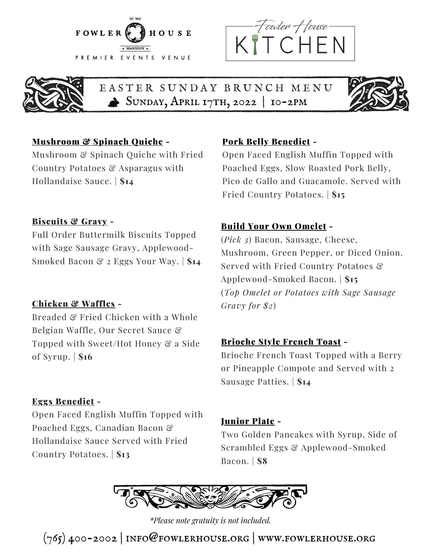





EASTER SUNDAY BRUNCH MENU SUNDAY, APRIL 17TH, 2022 | 10-2PM



### Mushroom & Spinach Quiche -

Mushroom & Spinach Quiche with Fried Country Potatoes & Asparagus with Hollandaise Sauce. | **\$14**

#### Pork Belly Benedict -

Open Faced English Muffin Topped with Poached Eggs, Slow Roasted Pork Belly, Pico de Gallo and Guacamole. Served with Fried Country Potatoes. | **\$15**

#### Biscuits & Gravy -

Full Order Buttermilk Biscuits Topped with Sage Sausage Gravy, Applewood-Smoked Bacon & 2 Eggs Your Way. | **\$14**

#### Chicken & Waffles -

Breaded & Fried Chicken with a Whole Belgian Waffle, Our Secret Sauce & Topped with Sweet/Hot Honey & a Side of Syrup. | **\$16**

#### Eggs Benedict -

Open Faced English Muffin Topped with Poached Eggs, Canadian Bacon & Hollandaise Sauce Served with Fried Country Potatoes. | **\$13**

#### Build Your Own Omelet -

(*Pick 3*) Bacon, Sausage, Cheese, Mushroom, Green Pepper, or Diced Onion. Served with Fried Country Potatoes & Applewood-Smoked Bacon. | **\$15** (*Top Omelet or Potatoes with Sage Sausage Gravy for \$2*)

#### Brioche Style French Toast -

Brioche French Toast Topped with a Berry or Pineapple Compote and Served with 2 Sausage Patties. | **\$14**

#### Junior Plate -

Two Golden Pancakes with Syrup, Side of Scrambled Eggs & Applewood-Smoked Bacon. | **\$8**



*\*Please note gratuity is not included.*

 $(765)$  400-2002 | INFO@FOWLERHOUSE.ORG | WWW.FOWLERHOUSE.ORG